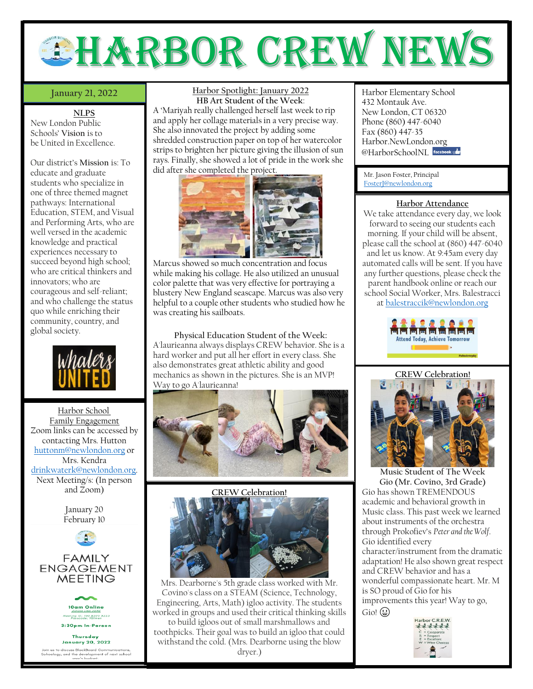# EHARBOR CREW NEW

# **January 21, 2022**

**NLPS**

New London Public Schools' **Vision** is to be United in Excellence.

Our district's **Mission** is: To educate and graduate students who specialize in one of three themed magnet pathways: International Education, STEM, and Visual and Performing Arts, who are well versed in the academic knowledge and practical experiences necessary to succeed beyond high school; who are critical thinkers and innovators; who are courageous and self-reliant; and who challenge the status quo while enriching their community, country, and global society.



Harbor School Family Engagement Zoom links can be accessed by contacting Mrs. Hutton [huttonm@newlondon.org](mailto:huttonm@newlondon.org) or Mrs. Kendra [drinkwaterk@newlondon.org.](mailto:drinkwaterk@newlondon.org) Next Meeting/s: (In person and Zoom)







**Thursday January 20, 2022** 

us to discuss BlackBoard Com<br>ology, and the development o<br>wear's budaet. ommunicatio<br>nt of next sch **Harbor Spotlight: January 2022 HB Art Student of the Week**:

A 'Mariyah really challenged herself last week to rip and apply her collage materials in a very precise way. She also innovated the project by adding some shredded construction paper on top of her watercolor strips to brighten her picture giving the illusion of sun rays. Finally, she showed a lot of pride in the work she did after she completed the project.



Marcus showed so much concentration and focus while making his collage. He also utilized an unusual color palette that was very effective for portraying a blustery New England seascape. Marcus was also very helpful to a couple other students who studied how he was creating his sailboats.

**Physical Education Student of the Week:** A'laurieanna always displays CREW behavior. She is a hard worker and put all her effort in every class. She also demonstrates great athletic ability and good mechanics as shown in the pictures. She is an MVP! Way to go A'laurieanna!





Mrs. Dearborne's 5th grade class worked with Mr. Covino's class on a STEAM (Science, Technology, Engineering, Arts, Math) igloo activity. The students worked in groups and used their critical thinking skills to build igloos out of small marshmallows and toothpicks. Their goal was to build an igloo that could withstand the cold. (Mrs. Dearborne using the blow dryer.)

Harbor Elementary School 432 Montauk Ave. New London, CT 06320 Phone (860) 447-6040 Fax (860) 447-35 Harbor.NewLondon.org @HarborSchoolNI Facebook

Mr. Jason Foster, Principal [FosterJ@newlondon.org](mailto:FosterJ@newlondon.org)

# **Harbor Attendance**

We take attendance every day, we look forward to seeing our students each morning. If your child will be absent, please call the school at (860) 447-6040 and let us know. At 9:45am every day automated calls will be sent. If you have any further questions, please check the parent handbook online or reach our school Social Worker, Mrs. Balestracci at [balestraccik@newlondon.org](mailto:balestraccik@newlondon.org)



# **CREW Celebration!**



**Music Student of The Week Gio (Mr. Covino, 3rd Grade)** Gio has shown TREMENDOUS academic and behavioral growth in Music class. This past week we learned about instruments of the orchestra through Prokofiev's *Peter and the Wolf*. Gio identified every character/instrument from the dramatic adaptation! He also shown great respect and CREW behavior and has a wonderful compassionate heart. Mr. M is SO proud of Gio for his improvements this year! Way to go,  $Gio!$   $\bigoplus$ Harbor C.R.E.W.